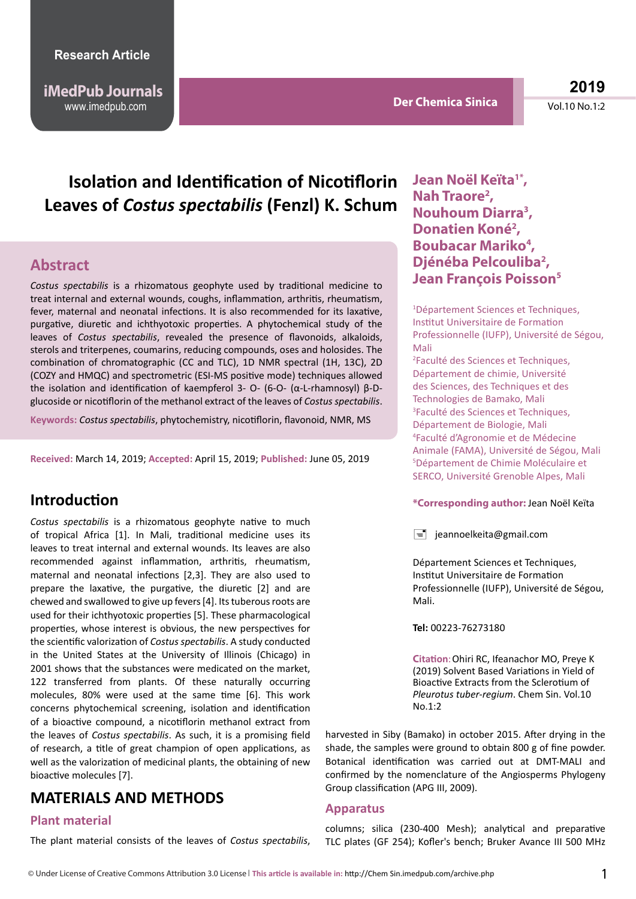www.imedpub.com **Vol.10 No.1:2** No.1:2 No.1:2 No.1:2 No.1:2 No.1:2 No.1:2 No.1:2 No.1:2 No.1:2 No.1:2 No.1:2 No.1:2 **iMedPub Journals**

**Der Chemica Sinica**

**2019**

# **Isolation and Identification of Nicotiflorin Leaves of** *Costus spectabilis* **(Fenzl) K. Schum**

#### **Abstract**

*Costus spectabilis* is a rhizomatous geophyte used by traditional medicine to treat internal and external wounds, coughs, inflammation, arthritis, rheumatism, fever, maternal and neonatal infections. It is also recommended for its laxative, purgative, diuretic and ichthyotoxic properties. A phytochemical study of the leaves of *Costus spectabilis*, revealed the presence of flavonoids, alkaloids, sterols and triterpenes, coumarins, reducing compounds, oses and holosides. The combination of chromatographic (CC and TLC), 1D NMR spectral (1H, 13C), 2D (COZY and HMQC) and spectrometric (ESI-MS positive mode) techniques allowed the isolation and identification of kaempferol 3- O- (6-O- (α-L-rhamnosyl) β-Dglucoside or nicotiflorin of the methanol extract of the leaves of *Costus spectabilis*.

**Keywords:** *Costus spectabilis*, phytochemistry, nicotiflorin, flavonoid, NMR, MS

**Received:** March 14, 2019; **Accepted:** April 15, 2019; **Published:** June 05, 2019

#### **Introduction**

*Costus spectabilis* is a rhizomatous geophyte native to much of tropical Africa [1]. In Mali, traditional medicine uses its leaves to treat internal and external wounds. Its leaves are also recommended against inflammation, arthritis, rheumatism, maternal and neonatal infections [2,3]. They are also used to prepare the laxative, the purgative, the diuretic [2] and are chewed and swallowed to give up fevers [4]. Its tuberous roots are used for their ichthyotoxic properties [5]. These pharmacological properties, whose interest is obvious, the new perspectives for the scientific valorization of *Costus spectabilis*. A study conducted in the United States at the University of Illinois (Chicago) in 2001 shows that the substances were medicated on the market, 122 transferred from plants. Of these naturally occurring molecules, 80% were used at the same time [6]. This work concerns phytochemical screening, isolation and identification of a bioactive compound, a nicotiflorin methanol extract from the leaves of *Costus spectabilis*. As such, it is a promising field of research, a title of great champion of open applications, as well as the valorization of medicinal plants, the obtaining of new bioactive molecules [7].

#### **MATERIALS AND METHODS**

#### **Plant material**

The plant material consists of the leaves of *Costus spectabilis*,

Jean Noël Keïta<sup>1\*</sup>, **Nah Traore2 , Nouhoum Diarra3 , Donatien Koné2 ,**  Boubacar Mariko<sup>4</sup>, **Djénéba Pelcouliba2 , Jean François Poisson5** 

1 Département Sciences et Techniques, Institut Universitaire de Formation Professionnelle (IUFP), Université de Ségou, Mali 2 Faculté des Sciences et Techniques,

Département de chimie, Université des Sciences, des Techniques et des Technologies de Bamako, Mali 3 Faculté des Sciences et Techniques, Département de Biologie, Mali 4 Faculté d'Agronomie et de Médecine Animale (FAMA), Université de Ségou, Mali 5 Département de Chimie Moléculaire et SERCO, Université Grenoble Alpes, Mali

#### **\*Corresponding author:** Jean Noël Keïta

 $\equiv$  jeannoelkeita@gmail.com

Département Sciences et Techniques, Institut Universitaire de Formation Professionnelle (IUFP), Université de Ségou, Mali.

**Tel:** 00223-76273180

**Citation**: Ohiri RC, Ifeanachor MO, Preye K (2019) Solvent Based Variations in Yield of Bioactive Extracts from the Sclerotium of *Pleurotus tuber-regium*. Chem Sin. Vol.10 No.1:2

harvested in Siby (Bamako) in october 2015. After drying in the shade, the samples were ground to obtain 800 g of fine powder. Botanical identification was carried out at DMT-MALI and confirmed by the nomenclature of the Angiosperms Phylogeny Group classification (APG III, 2009).

#### **Apparatus**

columns; silica (230-400 Mesh); analytical and preparative TLC plates (GF 254); Kofler's bench; Bruker Avance III 500 MHz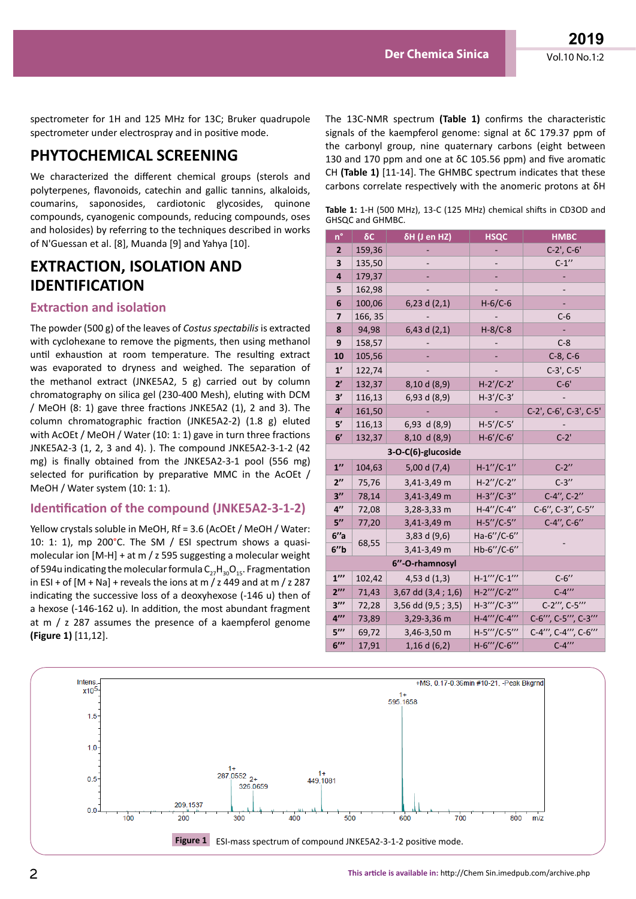spectrometer for 1H and 125 MHz for 13C; Bruker quadrupole spectrometer under electrospray and in positive mode.

## **PHYTOCHEMICAL SCREENING**

We characterized the different chemical groups (sterols and polyterpenes, flavonoids, catechin and gallic tannins, alkaloids, coumarins, saponosides, cardiotonic glycosides, quinone compounds, cyanogenic compounds, reducing compounds, oses and holosides) by referring to the techniques described in works of N'Guessan et al. [8], Muanda [9] and Yahya [10].

#### **EXTRACTION, ISOLATION AND IDENTIFICATION**

#### **Extraction and isolation**

The powder (500 g) of the leaves of *Costus spectabilis* is extracted with cyclohexane to remove the pigments, then using methanol until exhaustion at room temperature. The resulting extract was evaporated to dryness and weighed. The separation of the methanol extract (JNKE5A2, 5 g) carried out by column chromatography on silica gel (230-400 Mesh), eluting with DCM / MeOH (8: 1) gave three fractions JNKE5A2 (1), 2 and 3). The column chromatographic fraction (JNKE5A2-2) (1.8 g) eluted with AcOEt / MeOH / Water (10: 1: 1) gave in turn three fractions JNKE5A2-3 (1, 2, 3 and 4). ). The compound JNKE5A2-3-1-2 (42 mg) is finally obtained from the JNKE5A2-3-1 pool (556 mg) selected for purification by preparative MMC in the AcOEt / MeOH / Water system (10: 1: 1).

#### **Identification of the compound (JNKE5A2-3-1-2)**

Yellow crystals soluble in MeOH, Rf = 3.6 (AcOEt / MeOH / Water: 10: 1: 1), mp 200 $^{\circ}$ C. The SM / ESI spectrum shows a quasimolecular ion [M-H] + at m / z 595 suggesting a molecular weight of 594u indicating the molecular formula  $C_{27}H_{20}O_{15}$ . Fragmentation in ESI + of  $[M + Na]$  + reveals the ions at m / z 449 and at m / z 287 indicating the successive loss of a deoxyhexose (-146 u) then of a hexose (-146-162 u). In addition, the most abundant fragment at m / z 287 assumes the presence of a kaempferol genome **(Figure 1)** [11,12].

The 13C-NMR spectrum **(Table 1)** confirms the characteristic signals of the kaempferol genome: signal at δC 179.37 ppm of the carbonyl group, nine quaternary carbons (eight between 130 and 170 ppm and one at δC 105.56 ppm) and five aromatic CH **(Table 1)** [11-14]. The GHMBC spectrum indicates that these carbons correlate respectively with the anomeric protons at δH

**Table 1:** 1-H (500 MHz), 13-C (125 MHz) chemical shifts in CD3OD and GHSQC and GHMBC.

| n°                       | $\delta C$ | δH (J en HZ)       | <b>HSQC</b>       | <b>HMBC</b>            |
|--------------------------|------------|--------------------|-------------------|------------------------|
| $\overline{2}$           | 159,36     |                    |                   | $C-2'$ , $C-6'$        |
| 3                        | 135,50     |                    |                   | $C-1''$                |
| 4                        | 179,37     |                    |                   |                        |
| 5                        | 162,98     |                    |                   |                        |
| 6                        | 100,06     | 6,23 d $(2,1)$     | $H-6/C-6$         |                        |
| 7                        | 166, 35    |                    |                   | $C-6$                  |
| 8                        | 94,98      | 6,43 d $(2,1)$     | $H-8/C-8$         |                        |
| 9                        | 158,57     |                    |                   | $C-8$                  |
| 10                       | 105,56     |                    |                   | $C-8, C-6$             |
| 1'                       | 122,74     |                    |                   | $C-3'$ , $C-5'$        |
| 2'                       | 132,37     | 8,10 d (8,9)       | $H-2'/C-2'$       | $C-6'$                 |
| 3'                       | 116,13     | 6,93 d (8,9)       | $H-3'/C-3'$       |                        |
| 4'                       | 161,50     |                    |                   | C-2', C-6', C-3', C-5' |
| 5'                       | 116,13     | $6,93$ d $(8,9)$   | $H - 5'/C - 5'$   |                        |
| 6'                       | 132,37     | 8,10 d (8,9)       | $H - 6'/C - 6'$   | $C-2$ '                |
| 3-O-C(6)-glucoside       |            |                    |                   |                        |
| $1^{\prime\prime}$       | 104,63     | 5,00 d (7,4)       | $H-1''/C-1''$     | $C-2$ "                |
| $2^{\prime\prime}$       | 75,76      | 3,41-3,49 m        | $H-2''/C-2''$     | $C-3''$                |
| 3''                      | 78,14      | 3,41-3,49 m        | $H-3''/C-3''$     | C-4", C-2"             |
| $4^{\prime\prime}$       | 72,08      | 3,28-3,33 m        | $H - 4''/C - 4''$ | C-6", C-3", C-5"       |
| 5''                      | 77,20      | 3,41-3,49 m        | $H - 5''/C - 5''$ | C-4", C-6"             |
| 6''a                     | 68,55      | 3,83 d $(9,6)$     | Ha-6"/C-6"        |                        |
| 6'' <sub>b</sub>         |            | 3,41-3,49 m        | Hb-6"/C-6"        |                        |
| 6"-O-rhamnosyl           |            |                    |                   |                        |
| $1^{\prime\prime\prime}$ | 102,42     | 4,53 d $(1,3)$     | $H-1'''/C-1'''$   | $C-6''$                |
| $2^{\prime\prime\prime}$ | 71,43      | 3,67 dd (3,4; 1,6) | H-2""/C-2""       | $C-4''''$              |
| $3^{\prime\prime\prime}$ | 72,28      | 3,56 dd (9,5; 3,5) | H-3""/C-3""       | C-2"', C-5"'           |
| $4^{\prime\prime\prime}$ | 73,89      | 3,29-3,36 m        | H-4""/C-4""       | C-6"', C-5"', C-3"'    |
| $5^{\prime\prime\prime}$ | 69,72      | 3,46-3,50 m        | H-5""/C-5""       | C-4"', C-4"', C-6"'    |
| $6^{\prime\prime\prime}$ | 17,91      | $1,16$ d $(6,2)$   | H-6""/C-6""       | $C - 4''''$            |

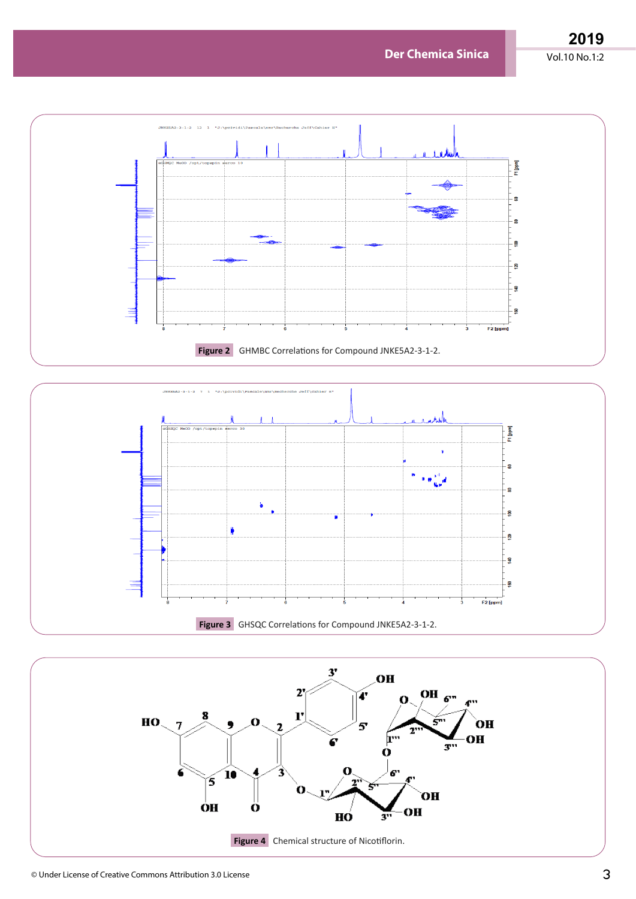**Der Chemica Sinica** Vol.10 No.1:2

**2019**





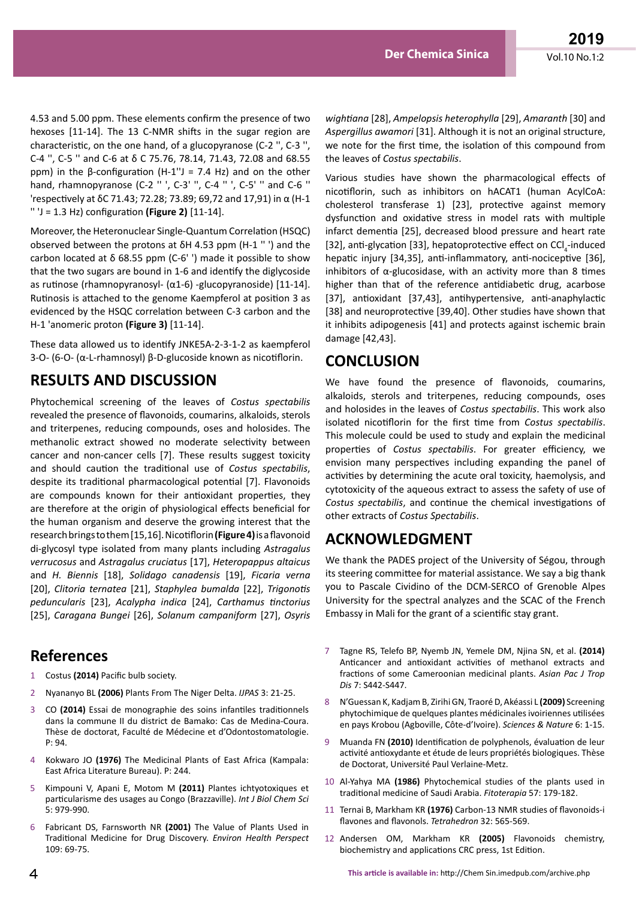4.53 and 5.00 ppm. These elements confirm the presence of two hexoses [11-14]. The 13 C-NMR shifts in the sugar region are characteristic, on the one hand, of a glucopyranose (C-2 '', C-3 '', C-4 '', C-5 '' and C-6 at δ C 75.76, 78.14, 71.43, 72.08 and 68.55 ppm) in the β-configuration (H-1"J = 7.4 Hz) and on the other hand, rhamnopyranose (C-2 '' ', C-3' '', C-4 '' ', C-5' '' and C-6 '' 'respectively at δC 71.43; 72.28; 73.89; 69,72 and 17,91) in α (H-1 '' 'J = 1.3 Hz) configuration **(Figure 2)** [11-14].

Moreover, the Heteronuclear Single-Quantum Correlation (HSQC) observed between the protons at δH 4.53 ppm (H-1 '' ') and the carbon located at δ 68.55 ppm (C-6' ') made it possible to show that the two sugars are bound in 1-6 and identify the diglycoside as rutinose (rhamnopyranosyl- (α1-6) -glucopyranoside) [11-14]. Rutinosis is attached to the genome Kaempferol at position 3 as evidenced by the HSQC correlation between C-3 carbon and the H-1 'anomeric proton **(Figure 3)** [11-14].

These data allowed us to identify JNKE5A-2-3-1-2 as kaempferol 3-O- (6-O- (α-L-rhamnosyl) β-D-glucoside known as nicotiflorin.

## **RESULTS AND DISCUSSION**

Phytochemical screening of the leaves of *Costus spectabilis* revealed the presence of flavonoids, coumarins, alkaloids, sterols and triterpenes, reducing compounds, oses and holosides. The methanolic extract showed no moderate selectivity between cancer and non-cancer cells [7]. These results suggest toxicity and should caution the traditional use of *Costus spectabilis*, despite its traditional pharmacological potential [7]. Flavonoids are compounds known for their antioxidant properties, they are therefore at the origin of physiological effects beneficial for the human organism and deserve the growing interest that the research brings to them [15,16]. Nicotiflorin **(Figure 4)** is a flavonoid di-glycosyl type isolated from many plants including *Astragalus verrucosus* and *Astragalus cruciatus* [17], *Heteropappus altaicus* and *H. Biennis* [18], *Solidago canadensis* [19], *Ficaria verna* [20], *Clitoria ternatea* [21], *Staphylea bumalda* [22], *Trigonotis peduncularis* [23], *Acalypha indica* [24], *Carthamus tinctorius* [25], *Caragana Bungei* [26], *Solanum campaniform* [27], *Osyris* 

### **References**

- 1 Costus **(2014)** Pacific bulb society.
- 2 Nyananyo BL **(2006)** Plants From The Niger Delta. *IJPAS* 3: 21-25.
- 3 CO **(2014)** Essai de monographie des soins infantiles traditionnels dans la commune II du district de Bamako: Cas de Medina-Coura. Thèse de doctorat, Faculté de Médecine et d'Odontostomatologie. P: 94.
- 4 Kokwaro JO **(1976)** The Medicinal Plants of East Africa (Kampala: East Africa Literature Bureau). P: 244.
- 5 Kimpouni V, Apani E, Motom M **(2011)** Plantes ichtyotoxiques et particularisme des usages au Congo (Brazzaville). *Int J Biol Chem Sci* 5: 979-990.
- 6 Fabricant DS, Farnsworth NR **(2001)** The Value of Plants Used in Traditional Medicine for Drug Discovery. *Environ Health Perspect* 109: 69-75.

*wightiana* [28], *Ampelopsis heterophylla* [29], *Amaranth* [30] and *Aspergillus awamori* [31]. Although it is not an original structure, we note for the first time, the isolation of this compound from the leaves of *Costus spectabilis*.

Various studies have shown the pharmacological effects of nicotiflorin, such as inhibitors on hACAT1 (human AcylCoA: cholesterol transferase 1) [23], protective against memory dysfunction and oxidative stress in model rats with multiple infarct dementia [25], decreased blood pressure and heart rate [32], anti-glycation [33], hepatoprotective effect on  $\text{CCI}_{4}$ -induced hepatic injury [34,35], anti-inflammatory, anti-nociceptive [36], inhibitors of  $\alpha$ -glucosidase, with an activity more than 8 times higher than that of the reference antidiabetic drug, acarbose [37], antioxidant [37,43], antihypertensive, anti-anaphylactic [38] and neuroprotective [39,40]. Other studies have shown that it inhibits adipogenesis [41] and protects against ischemic brain damage [42,43].

## **CONCLUSION**

We have found the presence of flavonoids, coumarins, alkaloids, sterols and triterpenes, reducing compounds, oses and holosides in the leaves of *Costus spectabilis*. This work also isolated nicotiflorin for the first time from *Costus spectabilis*. This molecule could be used to study and explain the medicinal properties of *Costus spectabilis*. For greater efficiency, we envision many perspectives including expanding the panel of activities by determining the acute oral toxicity, haemolysis, and cytotoxicity of the aqueous extract to assess the safety of use of *Costus spectabilis*, and continue the chemical investigations of other extracts of *Costus Spectabilis*.

### **ACKNOWLEDGMENT**

We thank the PADES project of the University of Ségou, through its steering committee for material assistance. We say a big thank you to Pascale Cividino of the DCM-SERCO of Grenoble Alpes University for the spectral analyzes and the SCAC of the French Embassy in Mali for the grant of a scientific stay grant.

- 7 Tagne RS, Telefo BP, Nyemb JN, Yemele DM, Njina SN, et al. **(2014)** Anticancer and antioxidant activities of methanol extracts and fractions of some Cameroonian medicinal plants. *Asian Pac J Trop Dis* 7: S442-S447.
- 8 N'Guessan K, Kadjam B, Zirihi GN, Traoré D, Akéassi L **(2009)** Screening phytochimique de quelques plantes médicinales ivoiriennes utilisées en pays Krobou (Agboville, Côte-d'Ivoire). *Sciences & Nature* 6: 1-15.
- 9 Muanda FN **(2010)** Identification de polyphenols, évaluation de leur activité antioxydante et étude de leurs propriétés biologiques. Thèse de Doctorat, Université Paul Verlaine-Metz.
- 10 Al-Yahya MA **(1986)** Phytochemical studies of the plants used in traditional medicine of Saudi Arabia. *Fitoterapia* 57: 179-182.
- 11 Ternai B, Markham KR **(1976)** Carbon-13 NMR studies of flavonoids-i flavones and flavonols. *Tetrahedron* 32: 565-569.
- 12 Andersen OM, Markham KR **(2005)** Flavonoids chemistry, biochemistry and applications CRC press, 1st Edition.